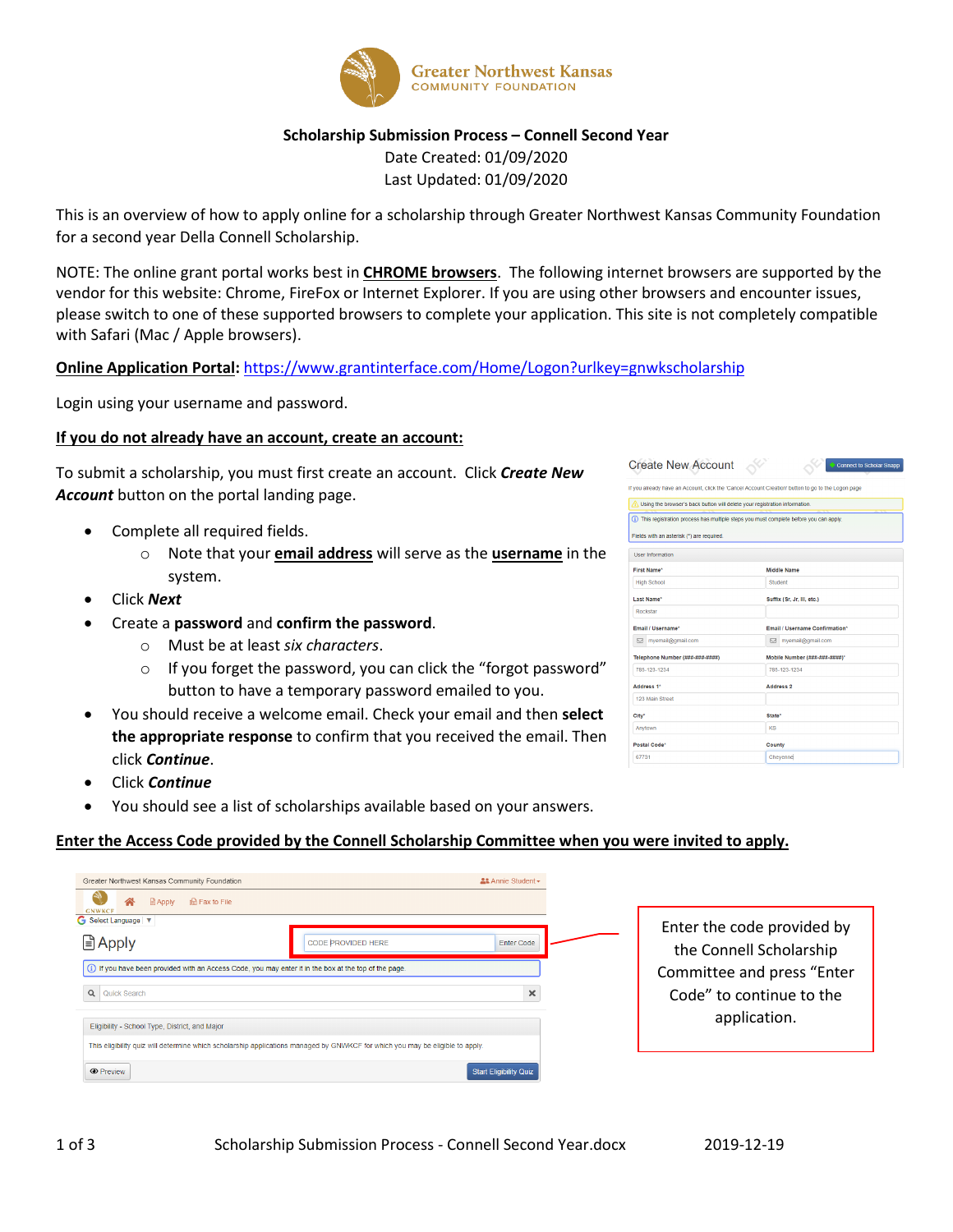

## **Scholarship Submission Process – Connell Second Year**

Date Created: 01/09/2020 Last Updated: 01/09/2020

This is an overview of how to apply online for a scholarship through Greater Northwest Kansas Community Foundation for a second year Della Connell Scholarship.

NOTE: The online grant portal works best in **CHROME browsers**. The following internet browsers are supported by the vendor for this website: Chrome, FireFox or Internet Explorer. If you are using other browsers and encounter issues, please switch to one of these supported browsers to complete your application. This site is not completely compatible with Safari (Mac / Apple browsers).

## **Online Application Portal:** <https://www.grantinterface.com/Home/Logon?urlkey=gnwkscholarship>

Login using your username and password.

### **If you do not already have an account, create an account:**

To submit a scholarship, you must first create an account. Click *Create New Account* button on the portal landing page.

- Complete all required fields.
	- o Note that your **email address** will serve as the **username** in the system.
- Click *Next*
- Create a **password** and **confirm the password**.
	- o Must be at least *six characters*.
	- o If you forget the password, you can click the "forgot password" button to have a temporary password emailed to you.
- You should receive a welcome email. Check your email and then **select the appropriate response** to confirm that you received the email. Then click *Continue*.
- Click *Continue*
- You should see a list of scholarships available based on your answers.

#### **Enter the Access Code provided by the Connell Scholarship Committee when you were invited to apply.**

| Greater Northwest Kansas Community Foundation<br><b>Apply</b><br>na Fax to File<br><b>GNWKCF</b>                              | ≗& Annie Student <del>▼</del> |
|-------------------------------------------------------------------------------------------------------------------------------|-------------------------------|
| G Select Language V                                                                                                           | Enter the code provided by    |
| <b>■ Apply</b>                                                                                                                | <b>Enter Code</b>             |
| CODE PROVIDED HERE                                                                                                            | the Connell Scholarship       |
| (i) If you have been provided with an Access Code, you may enter it in the box at the top of the page.                        | Committee and press "Enter    |
| Q Quick Search                                                                                                                | Code" to continue to the      |
| Eligibility - School Type, District, and Major                                                                                | ×                             |
| This eligibility quiz will determine which scholarship applications managed by GNWKCF for which you may be eligible to apply. | application.                  |
| <b>O</b> Preview                                                                                                              | <b>Start Eligibility Quiz</b> |

| Create New Account                                                         | <b>Connect to Scholar Snap</b>                                                                     |
|----------------------------------------------------------------------------|----------------------------------------------------------------------------------------------------|
|                                                                            | If you already have an Account, click the 'Cancel Account Creation' button to go to the Logon page |
| Using the browser's back button will delete your registration information. |                                                                                                    |
|                                                                            | (i) This registration process has multiple steps you must complete before you can apply.           |
| Fields with an asterisk (*) are required.                                  |                                                                                                    |
| <b>User Information</b>                                                    |                                                                                                    |
| First Name*                                                                | Middle Name                                                                                        |
| <b>High School</b>                                                         | Student                                                                                            |
| <b>Last Name*</b>                                                          | Suffix (Sr, Jr, III, etc.)                                                                         |
| Rockstar                                                                   |                                                                                                    |
| Email / Username*                                                          | <b>Email / Username Confirmation*</b>                                                              |
| mvemail@gmail.com                                                          | mvemail@omail.com                                                                                  |
| Telephone Number (###-###-####)                                            | Mobile Number (###-###-####)*                                                                      |
| 785-123-1234                                                               | 785-123-1234                                                                                       |
| Address 1*                                                                 | <b>Address 2</b>                                                                                   |
| 123 Main Street                                                            |                                                                                                    |
| City*                                                                      | State*                                                                                             |
| Anytown                                                                    | KS                                                                                                 |
| Postal Code*                                                               | County                                                                                             |
| 67731                                                                      | Chevennel                                                                                          |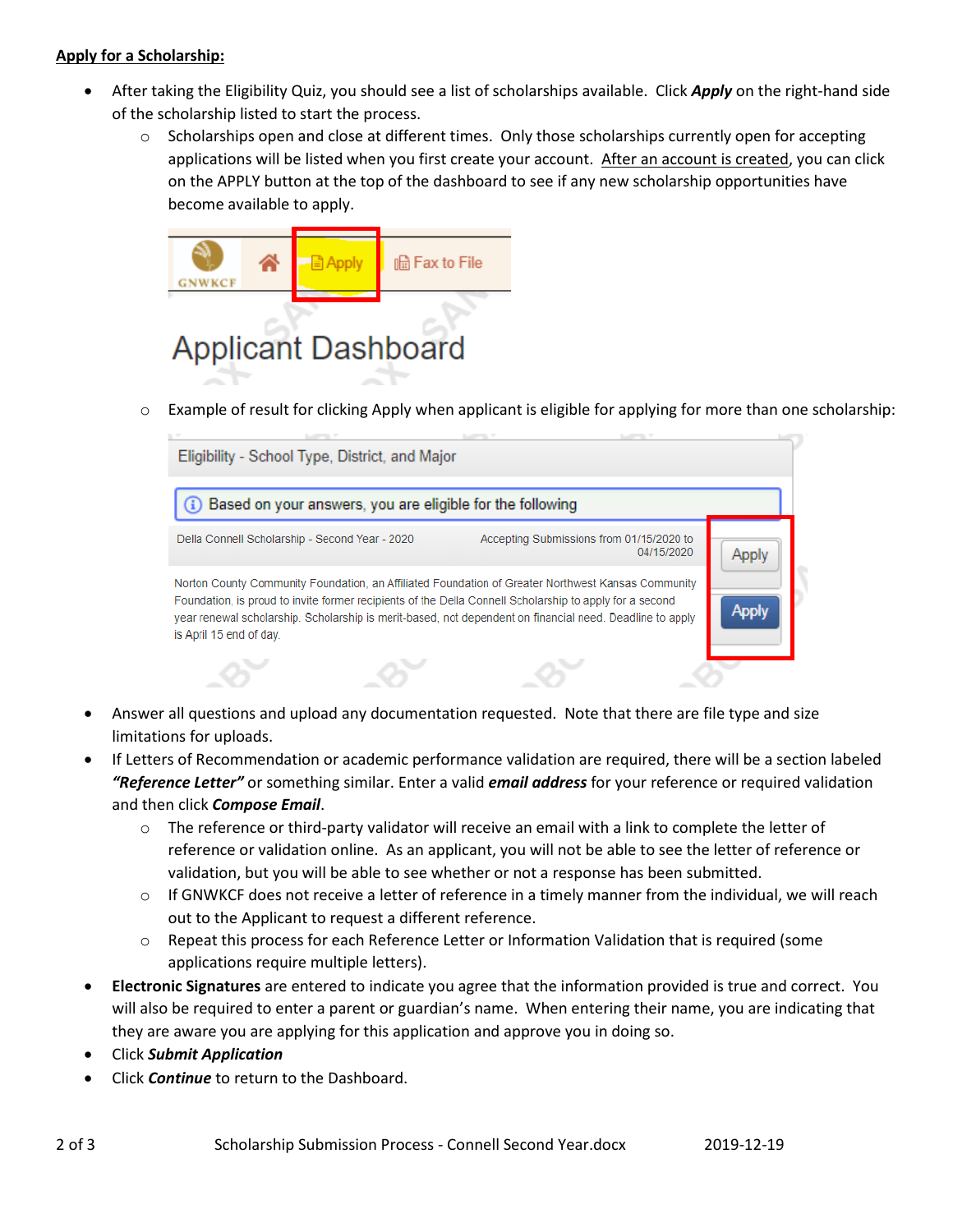# **Apply for a Scholarship:**

- After taking the Eligibility Quiz, you should see a list of scholarships available. Click *Apply* on the right-hand side of the scholarship listed to start the process.
	- o Scholarships open and close at different times. Only those scholarships currently open for accepting applications will be listed when you first create your account. After an account is created, you can click on the APPLY button at the top of the dashboard to see if any new scholarship opportunities have become available to apply.



o Example of result for clicking Apply when applicant is eligible for applying for more than one scholarship:



- Answer all questions and upload any documentation requested. Note that there are file type and size limitations for uploads.
- If Letters of Recommendation or academic performance validation are required, there will be a section labeled *"Reference Letter"* or something similar. Enter a valid *email address* for your reference or required validation and then click *Compose Email*.
	- $\circ$  The reference or third-party validator will receive an email with a link to complete the letter of reference or validation online. As an applicant, you will not be able to see the letter of reference or validation, but you will be able to see whether or not a response has been submitted.
	- $\circ$  If GNWKCF does not receive a letter of reference in a timely manner from the individual, we will reach out to the Applicant to request a different reference.
	- o Repeat this process for each Reference Letter or Information Validation that is required (some applications require multiple letters).
- **Electronic Signatures** are entered to indicate you agree that the information provided is true and correct. You will also be required to enter a parent or guardian's name. When entering their name, you are indicating that they are aware you are applying for this application and approve you in doing so.
- Click *Submit Application*
- Click *Continue* to return to the Dashboard.